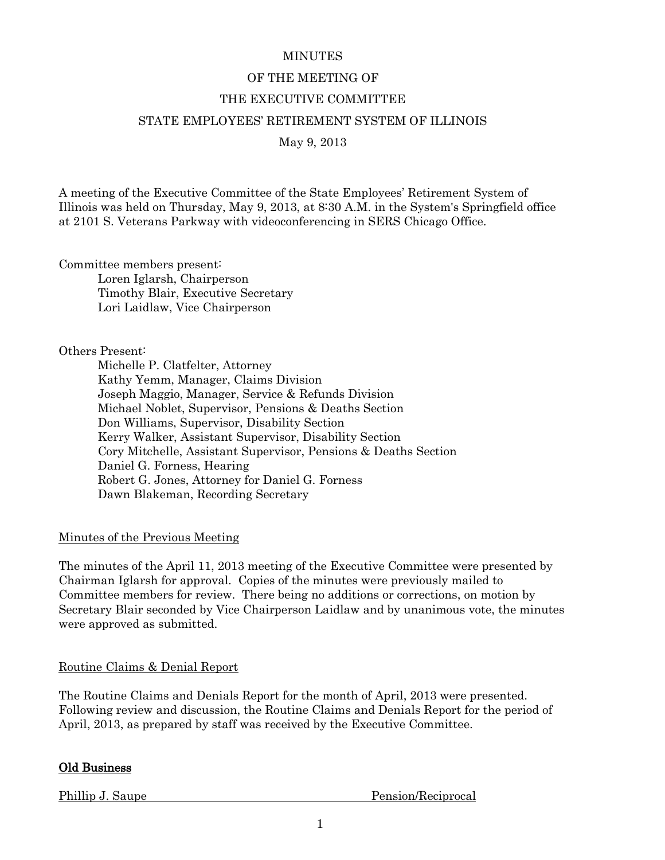#### **MINUTES**

# OF THE MEETING OF

## THE EXECUTIVE COMMITTEE

## STATE EMPLOYEES' RETIREMENT SYSTEM OF ILLINOIS

May 9, 2013

A meeting of the Executive Committee of the State Employees' Retirement System of Illinois was held on Thursday, May 9, 2013, at 8:30 A.M. in the System's Springfield office at 2101 S. Veterans Parkway with videoconferencing in SERS Chicago Office.

Committee members present:

Loren Iglarsh, Chairperson Timothy Blair, Executive Secretary Lori Laidlaw, Vice Chairperson

Others Present:

Michelle P. Clatfelter, Attorney Kathy Yemm, Manager, Claims Division Joseph Maggio, Manager, Service & Refunds Division Michael Noblet, Supervisor, Pensions & Deaths Section Don Williams, Supervisor, Disability Section Kerry Walker, Assistant Supervisor, Disability Section Cory Mitchelle, Assistant Supervisor, Pensions & Deaths Section Daniel G. Forness, Hearing Robert G. Jones, Attorney for Daniel G. Forness Dawn Blakeman, Recording Secretary

Minutes of the Previous Meeting

The minutes of the April 11, 2013 meeting of the Executive Committee were presented by Chairman Iglarsh for approval. Copies of the minutes were previously mailed to Committee members for review. There being no additions or corrections, on motion by Secretary Blair seconded by Vice Chairperson Laidlaw and by unanimous vote, the minutes were approved as submitted.

## Routine Claims & Denial Report

The Routine Claims and Denials Report for the month of April, 2013 were presented. Following review and discussion, the Routine Claims and Denials Report for the period of April, 2013, as prepared by staff was received by the Executive Committee.

## Old Business

Phillip J. Saupe Pension/Reciprocal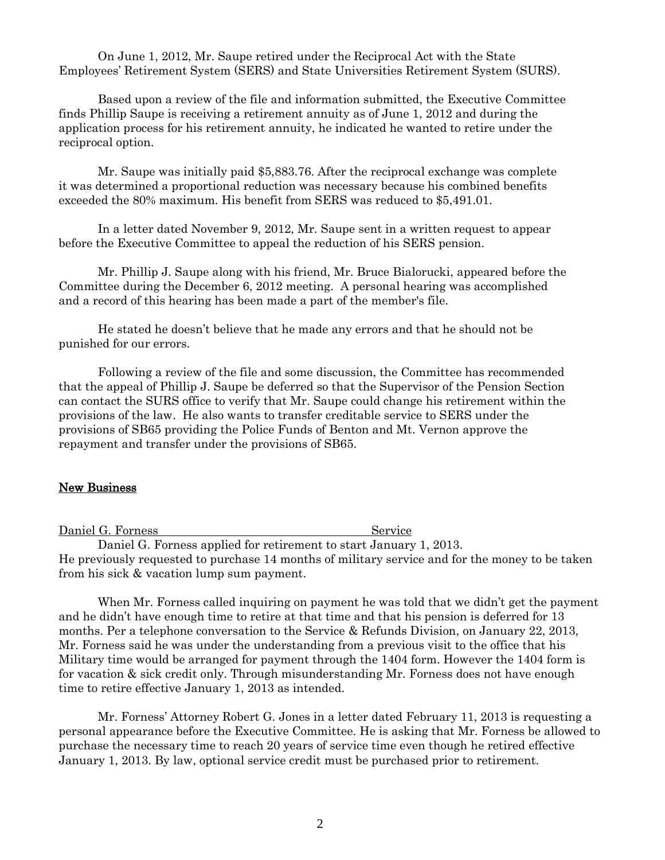On June 1, 2012, Mr. Saupe retired under the Reciprocal Act with the State Employees' Retirement System (SERS) and State Universities Retirement System (SURS).

Based upon a review of the file and information submitted, the Executive Committee finds Phillip Saupe is receiving a retirement annuity as of June 1, 2012 and during the application process for his retirement annuity, he indicated he wanted to retire under the reciprocal option.

Mr. Saupe was initially paid \$5,883.76. After the reciprocal exchange was complete it was determined a proportional reduction was necessary because his combined benefits exceeded the 80% maximum. His benefit from SERS was reduced to \$5,491.01.

In a letter dated November 9, 2012, Mr. Saupe sent in a written request to appear before the Executive Committee to appeal the reduction of his SERS pension.

Mr. Phillip J. Saupe along with his friend, Mr. Bruce Bialorucki, appeared before the Committee during the December 6, 2012 meeting. A personal hearing was accomplished and a record of this hearing has been made a part of the member's file.

He stated he doesn't believe that he made any errors and that he should not be punished for our errors.

Following a review of the file and some discussion, the Committee has recommended that the appeal of Phillip J. Saupe be deferred so that the Supervisor of the Pension Section can contact the SURS office to verify that Mr. Saupe could change his retirement within the provisions of the law. He also wants to transfer creditable service to SERS under the provisions of SB65 providing the Police Funds of Benton and Mt. Vernon approve the repayment and transfer under the provisions of SB65.

#### New Business

Daniel G. Forness Service

Daniel G. Forness applied for retirement to start January 1, 2013. He previously requested to purchase 14 months of military service and for the money to be taken from his sick & vacation lump sum payment.

When Mr. Forness called inquiring on payment he was told that we didn't get the payment and he didn't have enough time to retire at that time and that his pension is deferred for 13 months. Per a telephone conversation to the Service & Refunds Division, on January 22, 2013, Mr. Forness said he was under the understanding from a previous visit to the office that his Military time would be arranged for payment through the 1404 form. However the 1404 form is for vacation & sick credit only. Through misunderstanding Mr. Forness does not have enough time to retire effective January 1, 2013 as intended.

 Mr. Forness' Attorney Robert G. Jones in a letter dated February 11, 2013 is requesting a personal appearance before the Executive Committee. He is asking that Mr. Forness be allowed to purchase the necessary time to reach 20 years of service time even though he retired effective January 1, 2013. By law, optional service credit must be purchased prior to retirement.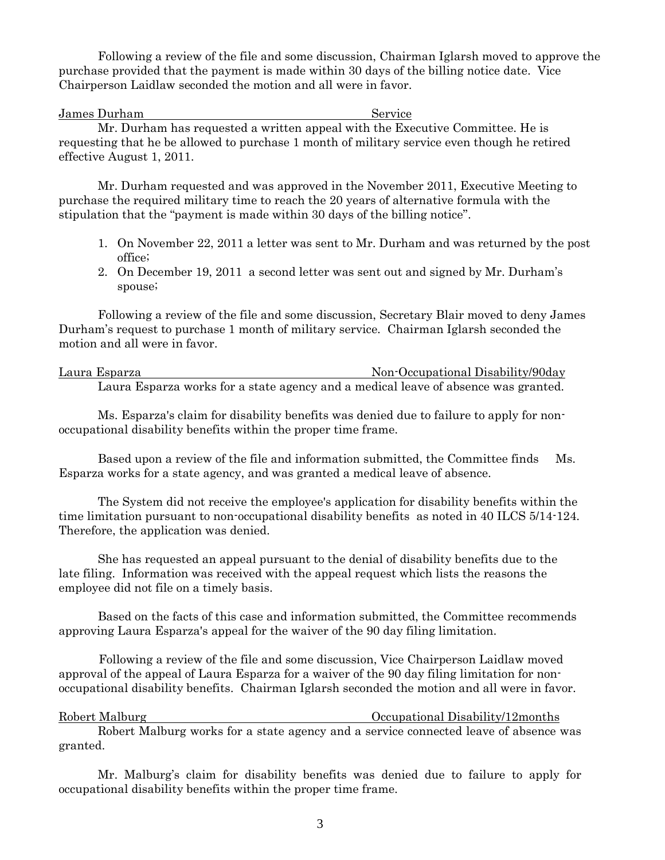Following a review of the file and some discussion, Chairman Iglarsh moved to approve the purchase provided that the payment is made within 30 days of the billing notice date. Vice Chairperson Laidlaw seconded the motion and all were in favor.

James Durham Service

Mr. Durham has requested a written appeal with the Executive Committee. He is requesting that he be allowed to purchase 1 month of military service even though he retired effective August 1, 2011.

Mr. Durham requested and was approved in the November 2011, Executive Meeting to purchase the required military time to reach the 20 years of alternative formula with the stipulation that the "payment is made within 30 days of the billing notice".

- 1. On November 22, 2011 a letter was sent to Mr. Durham and was returned by the post office;
- 2. On December 19, 2011 a second letter was sent out and signed by Mr. Durham's spouse;

Following a review of the file and some discussion, Secretary Blair moved to deny James Durham's request to purchase 1 month of military service. Chairman Iglarsh seconded the motion and all were in favor.

Laura Esparza 1986 1996 1997 - Non-Occupational Disability/90day Laura Esparza works for a state agency and a medical leave of absence was granted.

Ms. Esparza's claim for disability benefits was denied due to failure to apply for nonoccupational disability benefits within the proper time frame.

Based upon a review of the file and information submitted, the Committee finds Ms. Esparza works for a state agency, and was granted a medical leave of absence.

The System did not receive the employee's application for disability benefits within the time limitation pursuant to non-occupational disability benefits as noted in 40 ILCS 5/14-124. Therefore, the application was denied.

She has requested an appeal pursuant to the denial of disability benefits due to the late filing. Information was received with the appeal request which lists the reasons the employee did not file on a timely basis.

Based on the facts of this case and information submitted, the Committee recommends approving Laura Esparza's appeal for the waiver of the 90 day filing limitation.

 Following a review of the file and some discussion, Vice Chairperson Laidlaw moved approval of the appeal of Laura Esparza for a waiver of the 90 day filing limitation for nonoccupational disability benefits. Chairman Iglarsh seconded the motion and all were in favor.

Robert Malburg **Community** Community Community Occupational Disability/12months Robert Malburg works for a state agency and a service connected leave of absence was granted.

Mr. Malburg's claim for disability benefits was denied due to failure to apply for occupational disability benefits within the proper time frame.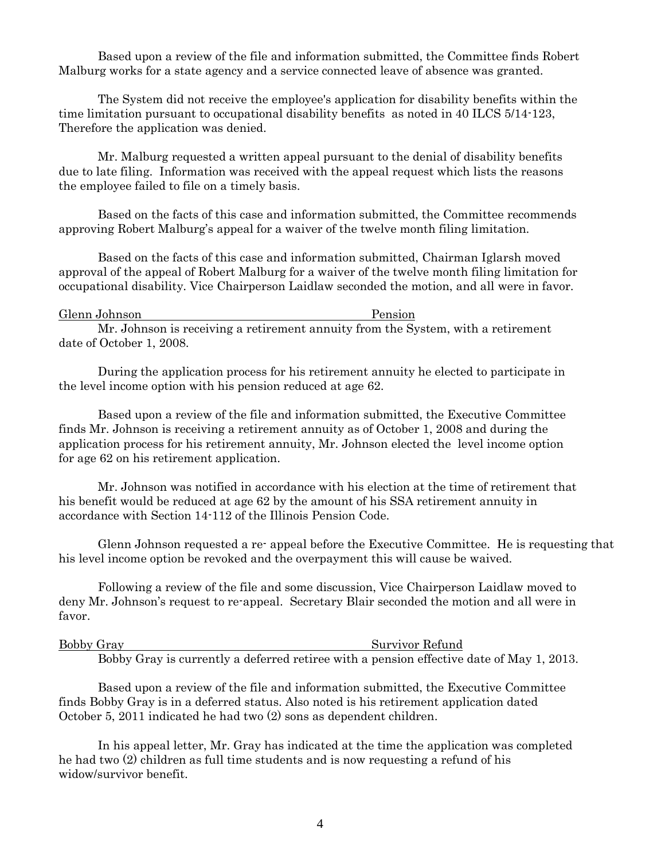Based upon a review of the file and information submitted, the Committee finds Robert Malburg works for a state agency and a service connected leave of absence was granted.

The System did not receive the employee's application for disability benefits within the time limitation pursuant to occupational disability benefits as noted in 40 ILCS 5/14-123, Therefore the application was denied.

Mr. Malburg requested a written appeal pursuant to the denial of disability benefits due to late filing. Information was received with the appeal request which lists the reasons the employee failed to file on a timely basis.

Based on the facts of this case and information submitted, the Committee recommends approving Robert Malburg's appeal for a waiver of the twelve month filing limitation.

Based on the facts of this case and information submitted, Chairman Iglarsh moved approval of the appeal of Robert Malburg for a waiver of the twelve month filing limitation for occupational disability. Vice Chairperson Laidlaw seconded the motion, and all were in favor.

| Glenn Johnson | Pension |
|---------------|---------|
|---------------|---------|

Mr. Johnson is receiving a retirement annuity from the System, with a retirement date of October 1, 2008.

During the application process for his retirement annuity he elected to participate in the level income option with his pension reduced at age 62.

Based upon a review of the file and information submitted, the Executive Committee finds Mr. Johnson is receiving a retirement annuity as of October 1, 2008 and during the application process for his retirement annuity, Mr. Johnson elected the level income option for age 62 on his retirement application.

Mr. Johnson was notified in accordance with his election at the time of retirement that his benefit would be reduced at age 62 by the amount of his SSA retirement annuity in accordance with Section 14-112 of the Illinois Pension Code.

Glenn Johnson requested a re- appeal before the Executive Committee. He is requesting that his level income option be revoked and the overpayment this will cause be waived.

Following a review of the file and some discussion, Vice Chairperson Laidlaw moved to deny Mr. Johnson's request to re-appeal. Secretary Blair seconded the motion and all were in favor.

Bobby Gray Survivor Refund

Bobby Gray is currently a deferred retiree with a pension effective date of May 1, 2013.

Based upon a review of the file and information submitted, the Executive Committee finds Bobby Gray is in a deferred status. Also noted is his retirement application dated October 5, 2011 indicated he had two (2) sons as dependent children.

In his appeal letter, Mr. Gray has indicated at the time the application was completed he had two (2) children as full time students and is now requesting a refund of his widow/survivor benefit.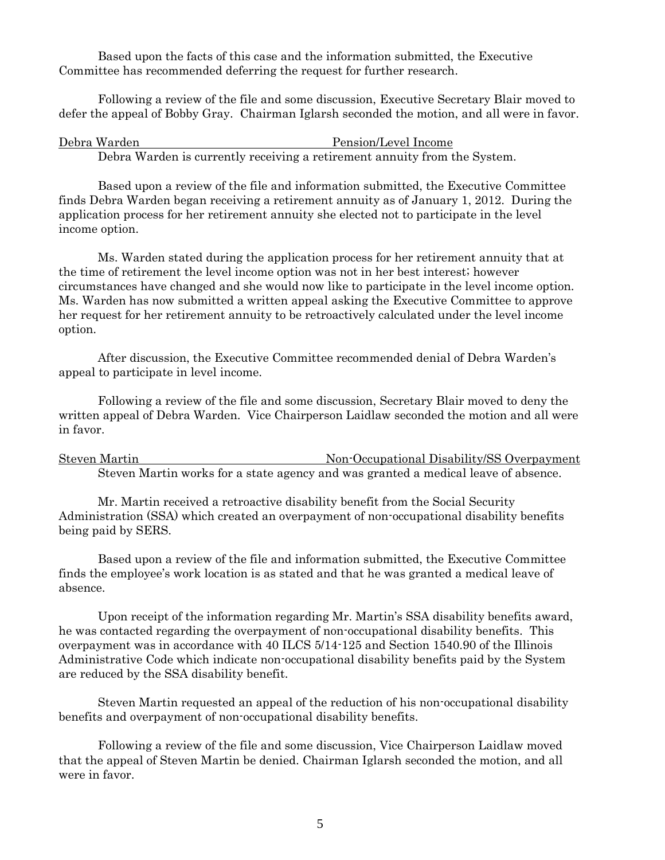Based upon the facts of this case and the information submitted, the Executive Committee has recommended deferring the request for further research.

Following a review of the file and some discussion, Executive Secretary Blair moved to defer the appeal of Bobby Gray. Chairman Iglarsh seconded the motion, and all were in favor.

| Debra Warden                                                              | Pension/Level Income |
|---------------------------------------------------------------------------|----------------------|
| Debra Warden is currently receiving a retirement annuity from the System. |                      |

Based upon a review of the file and information submitted, the Executive Committee finds Debra Warden began receiving a retirement annuity as of January 1, 2012. During the application process for her retirement annuity she elected not to participate in the level income option.

Ms. Warden stated during the application process for her retirement annuity that at the time of retirement the level income option was not in her best interest; however circumstances have changed and she would now like to participate in the level income option. Ms. Warden has now submitted a written appeal asking the Executive Committee to approve her request for her retirement annuity to be retroactively calculated under the level income option.

After discussion, the Executive Committee recommended denial of Debra Warden's appeal to participate in level income.

Following a review of the file and some discussion, Secretary Blair moved to deny the written appeal of Debra Warden. Vice Chairperson Laidlaw seconded the motion and all were in favor.

Steven Martin Non-Occupational Disability/SS Overpayment Steven Martin works for a state agency and was granted a medical leave of absence.

Mr. Martin received a retroactive disability benefit from the Social Security Administration (SSA) which created an overpayment of non-occupational disability benefits being paid by SERS.

Based upon a review of the file and information submitted, the Executive Committee finds the employee's work location is as stated and that he was granted a medical leave of absence.

Upon receipt of the information regarding Mr. Martin's SSA disability benefits award, he was contacted regarding the overpayment of non-occupational disability benefits. This overpayment was in accordance with 40 ILCS 5/14-125 and Section 1540.90 of the Illinois Administrative Code which indicate non-occupational disability benefits paid by the System are reduced by the SSA disability benefit.

Steven Martin requested an appeal of the reduction of his non-occupational disability benefits and overpayment of non-occupational disability benefits.

Following a review of the file and some discussion, Vice Chairperson Laidlaw moved that the appeal of Steven Martin be denied. Chairman Iglarsh seconded the motion, and all were in favor.